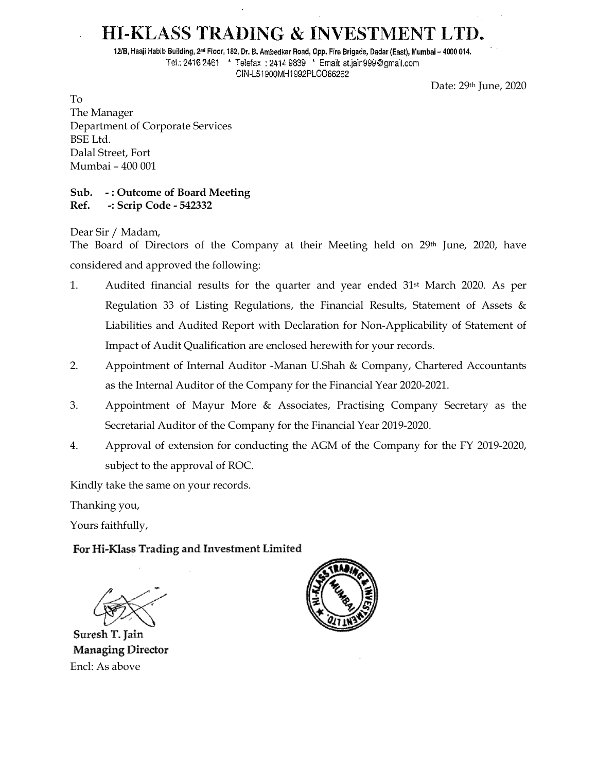# HI-KLASS TRADING & INVESTMENT LTD.

12/B, Haaji Habib Building, 2<sup>nd</sup> Fioor, 182, Dr. B. Ambedkar Road, Opp. Fire Brigade, Dadar (East), Mumbai - 4000 014. Tel.: 2416 2461 \* Telefax : 2414 9839 \* Email: st.jain999@gmail.com CIN-L51900MH1992PLCO66262

Date: 29th June, 2020

To The Manager Department of Corporate Services BSE Ltd. Dalal Street, Fort Mumbai – 400 001

**Sub. - : Outcome of Board Meeting Ref. -: Scrip Code - 542332**

Dear Sir / Madam,

The Board of Directors of the Company at their Meeting held on  $29<sup>th</sup>$  June, 2020, have considered and approved the following:

- 1. Audited financial results for the quarter and year ended 31st March 2020. As per Regulation 33 of Listing Regulations, the Financial Results, Statement of Assets & Liabilities and Audited Report with Declaration for Non-Applicability of Statement of Impact of Audit Qualification are enclosed herewith for your records.
- 2. Appointment of Internal Auditor -Manan U.Shah & Company, Chartered Accountants as the Internal Auditor of the Company for the Financial Year 2020-2021.
- 3. Appointment of Mayur More & Associates, Practising Company Secretary as the Secretarial Auditor of the Company for the Financial Year 2019-2020.
- 4. Approval of extension for conducting the AGM of the Company for the FY 2019-2020, subject to the approval of ROC.

Kindly take the same on your records.

Thanking you,

Yours faithfully,

# For Hi-Klass Trading and Investment Limited

Suresh T. Jain **Managing Director** Encl: As above

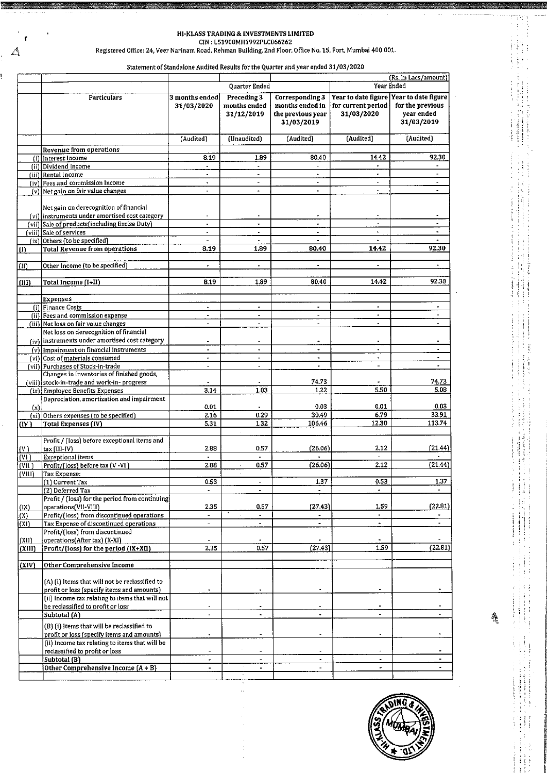HI-KLASS TRADING & INVESTMENTS LIMITED<br>CIN : L51900MH1992PLC066262<br>Registered Office: 24, Veer Narinam Road, Rehman Building, 2nd Floor, Office No. 15, Fort, Mumbai 400 001.

لأنكم

### Statement of Standalone Audited Results for the Quarter and year ended 31/03/2020

|                                     |                                                                                              | Quarter Ended                |                                           | Year Ended<br>Year to date figure Year to date figure                 |                                        |                                              |
|-------------------------------------|----------------------------------------------------------------------------------------------|------------------------------|-------------------------------------------|-----------------------------------------------------------------------|----------------------------------------|----------------------------------------------|
|                                     | Particulars                                                                                  | 3 months ended<br>31/03/2020 | Preceding 3<br>months ended<br>31/12/2019 | Corresponding 3<br>months ended in<br>the previous year<br>31/03/2019 | for current period<br>31/03/2020       | for the previous<br>vear ended<br>31/03/2019 |
|                                     |                                                                                              | (Audited)                    | (Unaudited)                               | (Audited)                                                             | (Audited)                              | (Audited)                                    |
|                                     | Revenue from operations                                                                      |                              |                                           |                                                                       |                                        |                                              |
|                                     | (i) Interest Income<br>(ii) Dividend Income                                                  | 8.19<br>$\blacksquare$       | 1.89<br>٠                                 | 80.40                                                                 | 14.42<br>$\blacksquare$                | 9230                                         |
|                                     | (iii) Rental Income                                                                          | $\bullet$                    |                                           |                                                                       | $\bullet$                              |                                              |
|                                     | (iv) Fees and commission Income                                                              | ۰                            | $\blacksquare$                            | ٠                                                                     | $\bullet$                              | ٠                                            |
|                                     | (v) Net gain on fair value changes                                                           | $\blacksquare$               | $\blacksquare$                            | $\bullet$                                                             |                                        | ä,                                           |
|                                     | Net gain on derecognition of financial<br>(vi) instruments under amortised cost category     | $\blacksquare$               | ٠                                         | ٠                                                                     |                                        |                                              |
|                                     | (vii) Sale of products (including Excise Duty)                                               | $\blacksquare$               | $\bullet$                                 | $\bullet$                                                             |                                        | $\blacksquare$                               |
|                                     | (viii) Sale of services                                                                      | $\blacksquare$               | ä,                                        | ٠                                                                     | ٠                                      | ٠                                            |
|                                     | (ix) Others (to be specified)<br><b>Total Revenue from operations</b>                        | 8.19                         | 1.89                                      | 80.40                                                                 | 14.42                                  | ٠<br>92.30                                   |
| (1)                                 |                                                                                              |                              |                                           |                                                                       |                                        |                                              |
| (11)                                | Other Income (to be specified)                                                               | ٠                            | $\bullet$                                 | ٠                                                                     | ä,                                     | $\blacksquare$                               |
|                                     |                                                                                              |                              |                                           |                                                                       | 14.42                                  | 9230                                         |
| (III)                               | Total Income (I+II)                                                                          | 8.19                         | 189                                       | 80.40                                                                 |                                        |                                              |
|                                     | <b>Expenses</b>                                                                              |                              |                                           |                                                                       |                                        |                                              |
|                                     | (i) Finance Costs                                                                            | $\bullet$                    | $\bullet$                                 | $\bullet$                                                             | $\blacksquare$                         | ٠                                            |
|                                     | $(ii)$ Fees and commission expense<br>(iii) Net loss on fair value changes                   | $\blacksquare$<br>٠          | $\bullet$<br>٠                            | $\blacksquare$<br>$\tilde{\phantom{a}}$                               | $\bullet$<br>٠                         |                                              |
|                                     | Net loss on derecognition of financial                                                       |                              |                                           |                                                                       |                                        |                                              |
|                                     | (iv) instruments under amortised cost category                                               |                              |                                           |                                                                       |                                        |                                              |
|                                     | (v) Impairment on financial instruments                                                      | $\bullet$                    | $\bullet$                                 | $\bullet$                                                             | $\bullet$                              | $\blacksquare$                               |
|                                     | (vi) Cost of materials consumed                                                              | ۰<br>ä,                      | $\blacksquare$<br>$\hat{\phantom{a}}$     | $\bullet$<br>$\bullet$                                                | $\ddot{\phantom{0}}$<br>$\blacksquare$ | $\bullet$<br>$\bullet$                       |
|                                     | (vii)   Purchases of Stock-in-trade<br>Changes in Inventories of finished goods,             |                              |                                           |                                                                       |                                        |                                              |
|                                     | (viii) stock-in-trade and work-in-progress)                                                  | ٠                            | $\bullet$                                 | 74.73                                                                 | ٠                                      | 74.73                                        |
|                                     | (ix) Employee Benefits Expenses                                                              | 3.14                         | 1.03                                      | 1.22                                                                  | 5.50                                   | 5.08                                         |
|                                     | Depreciation, amortization and impairment                                                    | 0.01                         |                                           | 0.03                                                                  | 0.01                                   | 0.03                                         |
| (x)<br>$\overline{(\overline{ii})}$ | Others expenses (to be specified)                                                            | 2.16                         | 0.29                                      | 30.49                                                                 | 679                                    | 33.91                                        |
| (IV)                                | <b>Total Expenses (IV)</b>                                                                   | 5,31                         | 132                                       | 106.46                                                                | 1230                                   | 113.74                                       |
| (V)                                 | Profit / (loss) before exceptional items and<br>$tax(III-IV)$                                | 2.88                         | 0.57                                      | (26.06)                                                               | 2.12                                   | (21.44)                                      |
| [VI]                                | <b>Exceptional</b> items                                                                     | $\bullet$<br>2.88            | $\sim$<br>0.57<br>$\ddot{\phantom{1}}$    | $\blacksquare$<br>(26.06)                                             | $\overline{a}$<br>212                  | (21.44)                                      |
| (VII<br>(VIII)                      | Profit/(loss) before tax (V-VI)<br>Tax Expense:                                              |                              | $\overline{\phantom{a}}$                  |                                                                       |                                        |                                              |
|                                     | (1) Current Tax                                                                              | 0.53                         |                                           | 1.37                                                                  | 0.53                                   | 1.37                                         |
|                                     | (2) Deferred Tax                                                                             | $\blacksquare$               | $\ddot{\phantom{a}}$                      | $\blacksquare$                                                        | ٠                                      | ٠                                            |
|                                     | Profit / (loss) for the period from continuing                                               | 2.35                         | 0.57                                      | (27.43)                                                               | 1.59                                   | (22.81)                                      |
| (IX)<br>(X)                         | operations(VII-VIII)<br>Profit/(loss) from discontinued operations                           |                              | $\blacksquare$                            | $\bullet$                                                             | $\blacksquare$                         | ٠                                            |
| (XI)                                | Tax Expense of discontinued operations                                                       | $\blacksquare$               | $\blacksquare$                            | $\blacksquare$                                                        | ٠                                      | ٠                                            |
|                                     | Profit/(loss) from discontinued                                                              |                              |                                           |                                                                       |                                        |                                              |
| (X 1)<br>(XIII)                     | operations(After tax) (X-XI)<br>Profit/(loss) for the period (IX+XII)                        | 2.35                         | 0.57                                      | (27.43)                                                               | 1.59                                   | (22.81)                                      |
| (XIV)                               | Other Comprehensive Income                                                                   |                              |                                           |                                                                       |                                        |                                              |
|                                     | (A) (i) Items that will not be reclassified to<br>profit or loss (specify items and amounts) |                              |                                           | ٠                                                                     | ٠                                      |                                              |
|                                     | (ii) Income tax relating to items that will not                                              |                              |                                           |                                                                       |                                        |                                              |
|                                     | be reclassified to profit or loss<br>Subtotal (A)                                            | $\blacksquare$               | $\blacksquare$                            | $\hat{\phantom{a}}$                                                   | $\bullet$                              | $\bullet$                                    |
|                                     | (B) (i) Items that will be reclassified to<br>profit or loss (specify items and amounts)     | ٠                            | $\blacksquare$                            | $\overline{\phantom{a}}$                                              | $\blacksquare$                         |                                              |
|                                     | (ii) Income tax relating to items that will be<br>reclassified to profit or loss             | ÷                            | ۰                                         | $\blacksquare$                                                        |                                        |                                              |
|                                     | Subtotal (B)                                                                                 | ٠                            | $\blacksquare$                            | $\blacksquare$                                                        | $\blacksquare$                         | $\blacksquare$                               |
|                                     | Other Comprehensive Income (A + B)                                                           | $\blacksquare$               | $\blacksquare$                            | -                                                                     | ۰                                      | $\blacksquare$                               |



秦

44

Ę

ï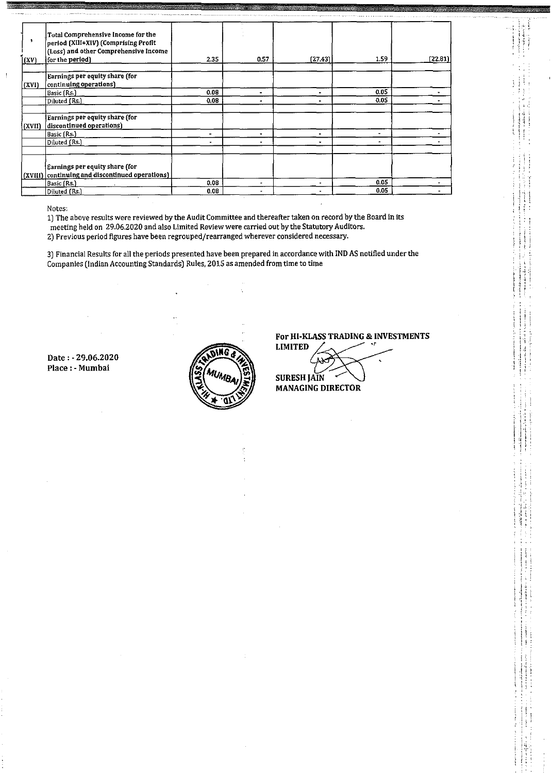| ,<br>(XV) | Total Comprehensive Income for the<br>period (XIII+XIV) (Comprising Profit<br>(Loss) and other Comprehensive Income<br>for the period) | 2.35 | 0.57           | (27.43) | 1.59      | (22.31) |
|-----------|----------------------------------------------------------------------------------------------------------------------------------------|------|----------------|---------|-----------|---------|
|           | Earnings per equity share (for                                                                                                         |      |                |         |           |         |
| (XVI)     | continuing operations)                                                                                                                 |      |                |         |           |         |
|           | Basic (Rs.)                                                                                                                            | 0.08 | ۰              | ٠       | 0.05      |         |
|           | Diluted (Rs.)                                                                                                                          | 0.08 | $\blacksquare$ | ۰       | 0.05      |         |
| (XVII)    | Earnings per equity share (for<br>discontinued operations)                                                                             |      |                |         |           |         |
|           | Basic (Rs.)                                                                                                                            | ٠    |                | ۰       | ٠         |         |
|           | Diluted (Rs.)                                                                                                                          |      |                | ۰       | $\bullet$ |         |
|           | Earnings per equity share (for<br>(XVIII) continuing and discontinued operations)                                                      |      |                |         |           |         |
|           | Basic (Rs.)                                                                                                                            | 0.08 |                | ۰.      | 0.05      |         |
|           | Diluted (Rs.)                                                                                                                          | 0.08 | ۰              | ۰.      | 0.05      |         |

Notes:

**1)** The above results were reviewed by the Audit Committee and thereafter taken on record by the Board in its meeting held on 29.06.2020 and also Limited Review were carried out by the Statutory Auditors. 2) Previous period figures have been regrouped/rearranged wherever considered necessary.

3) Financial Results for all the periods presented have been prepared in accordance with iND AS notifiedunder the Companies (Indian Accounting Standards) Rules, 2015 as amended from time to time

Date : - 29.06.2020 Place : - Mumbai



For HI-KLASS TRADING & INVESTMENTS<br>LIMITED / \

N **SURESH JAIN MANAGING DIRECTOR**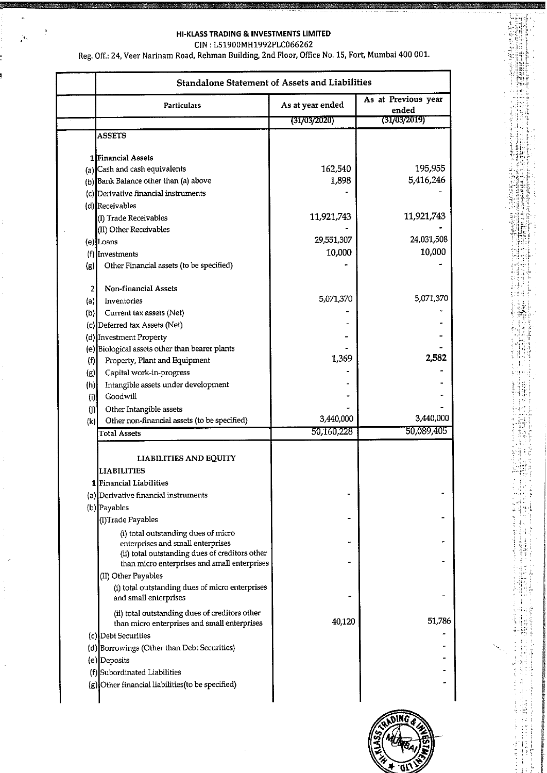## **HI-KWS TRADING** & **INVESTMENTS LIMITED**

 $\mathcal{A}_\mathcal{A}$ 

CIN : L51900MH1992PLC066262

Reg. Off.: 24, Veer Narinam Road, Rehman Building, 2nd Floor, Office No. 15, Fort, Mumbai 400 001.

|                   | Particulars                                                                                    | As at Previous year |              |
|-------------------|------------------------------------------------------------------------------------------------|---------------------|--------------|
|                   |                                                                                                | As at year ended    | ended        |
|                   |                                                                                                | (31/03/2020)        | (31/03/2019) |
|                   | <b>ASSETS</b>                                                                                  |                     |              |
|                   | 1 Financial Assets                                                                             |                     |              |
|                   | (a) Cash and cash equivalents                                                                  | 162,540             | 195,955      |
|                   | (b) Bank Balance other than (a) above                                                          | 1,898               | 5,416,246    |
|                   | (c) Derivative financial instruments                                                           |                     |              |
|                   | (d) Receivables                                                                                |                     |              |
|                   | (I) Trade Receivables                                                                          | 11,921,743          | 11,921,743   |
|                   | (II) Other Receivables                                                                         |                     |              |
|                   | (e) Loans                                                                                      | 29,551,307          | 24,031,508   |
|                   | (f) Investments                                                                                | 10,000              | 10,000       |
| (g)               | Other Financial assets (to be specified)                                                       |                     |              |
| 2                 | <b>Non-financial Assets</b>                                                                    |                     |              |
| (a)               | Inventories                                                                                    | 5,071,370           | 5,071,370    |
| (b)               | Current tax assets (Net)                                                                       |                     |              |
|                   | (c) Deferred tax Assets (Net)                                                                  |                     |              |
|                   | (d) Investment Property                                                                        |                     |              |
|                   | (e) Biological assets other than bearer plants                                                 |                     |              |
| (f)               | Property, Plant and Equipment                                                                  | 1,369               | 2,582        |
| $\left( g\right)$ | Capital work-in-progress                                                                       |                     |              |
| (h)               | Intangible assets under development                                                            |                     |              |
| (i)               | Goodwill                                                                                       |                     |              |
| (i)               | Other Intangible assets                                                                        |                     |              |
| (k)               | Other non-financial assets (to be specified)                                                   | 3,440,000           | 3,440,000    |
|                   | <b>Total Assets</b>                                                                            | 50,160,228          | 50,089,405   |
|                   |                                                                                                |                     |              |
|                   | LIABILITIES AND EQUITY                                                                         |                     |              |
|                   |                                                                                                |                     |              |
|                   | <b>LIABILITIES</b>                                                                             |                     |              |
|                   | 1 Financial Liabilities                                                                        |                     |              |
|                   | (a) Derivative financial instruments                                                           |                     |              |
|                   | (b) Payables                                                                                   |                     |              |
|                   | (I)Trade Payables                                                                              |                     |              |
|                   | (i) total outstanding dues of micro                                                            |                     |              |
|                   | enterprises and small enterprises                                                              |                     |              |
|                   | (ii) total outstanding dues of creditors other<br>than micro enterprises and small enterprises |                     |              |
|                   | (II) Other Payables                                                                            |                     |              |
|                   | (i) total outstanding dues of micro enterprises                                                |                     |              |
|                   | and small enterprises                                                                          |                     |              |
|                   | (ii) total outstanding dues of creditors other                                                 |                     |              |
|                   | than micro enterprises and small enterprises                                                   | 40,120              |              |
|                   | (c) Debt Securities                                                                            |                     |              |
|                   | (d) Borrowings (Other than Debt Securities)                                                    |                     | 51,786       |
|                   | (e) Deposits<br>(f) Subordinated Liabilities                                                   |                     |              |



4. त ने में i. W

ì

ġ. ł.

å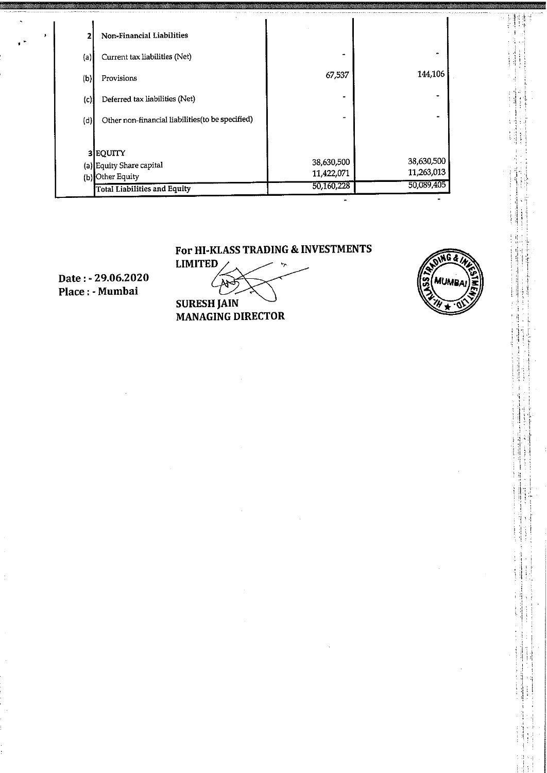| ٠ | 2   | Non-Financial Liabilities                                |                          |                          |
|---|-----|----------------------------------------------------------|--------------------------|--------------------------|
|   | (a) | Current tax liabilities (Net)                            | ٠                        |                          |
|   | (b) | Provisions                                               | 67,537                   | 144,106                  |
|   | (c) | Deferred tax liabilities (Net)                           |                          |                          |
|   | (d) | Other non-financial liabilities (to be specified)        | $\overline{a}$           |                          |
|   |     | 3 EQUITY<br>(a) Equity Share capital<br>(b) Other Equity | 38,630,500<br>11,422,071 | 38,630,500<br>11,263,013 |
|   |     | Total Liabilities and Equity                             | 50,160,228               | 50,089,405               |

**Date** : - **29.06.2020 Place** : - **Mumbai** 

For HI-KLASS TRADING & INVESTMENTS<br>LIMITED / **LIMITED**<br>SURESH JAIN **MANAGING DIRECTOR** 

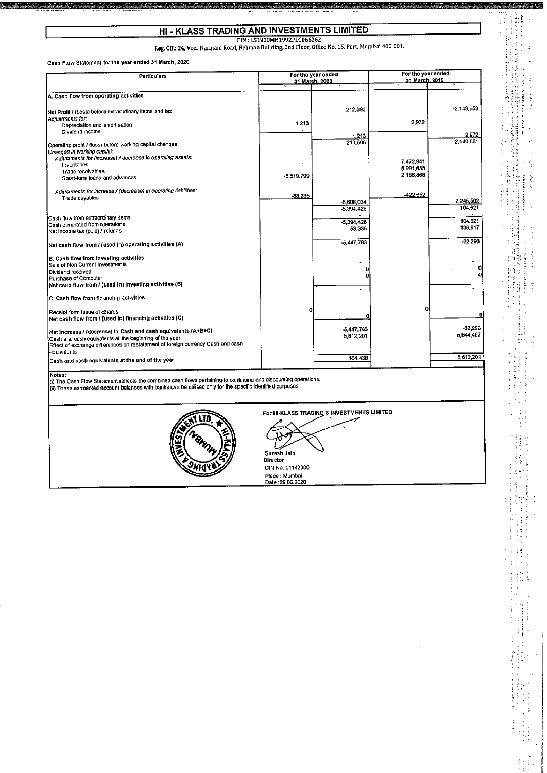# HI - KLASS TRADING AND INVESTMENTS LIMITED

CIN : L51900MH1992PLC066262 Reg. Off.: 24, Veer Narinam Road, Rehman Building, 2nd Floor, Office No. 15, Fort, Mumbai 400 001.

Cash Flow Statement for the year ended 31 March, 2020

| <b>Particulars</b>                                                                                                | For the year ended<br>31 March. 2020 |                                            | For the year ended<br>31 March. 2019 |              |
|-------------------------------------------------------------------------------------------------------------------|--------------------------------------|--------------------------------------------|--------------------------------------|--------------|
|                                                                                                                   |                                      |                                            |                                      |              |
| A. Cash flow from operating activities                                                                            |                                      |                                            |                                      |              |
| Net Profit / (Loss) before extraordinary items and tax                                                            |                                      | 212,393                                    |                                      | -2, 143, 853 |
| Adjustments for:                                                                                                  | 1213                                 |                                            | 2,972                                |              |
| Depreciation and amortisation<br>Dividend income                                                                  |                                      |                                            |                                      |              |
|                                                                                                                   |                                      | 1.213                                      |                                      | 2,972        |
| Operating profit / (loss) before working capital changes                                                          |                                      | 213,606                                    |                                      | $-2,140.881$ |
| Changes in working capital:                                                                                       |                                      |                                            |                                      |              |
| Adjustments for (increase) / decrease in operating assets:                                                        |                                      |                                            | 7.472.941                            |              |
| Inventories                                                                                                       |                                      |                                            | -6,991,655                           |              |
| Trade receivables<br>Short-term loans and advances                                                                | -5,519.799                           |                                            | 2,186,868                            |              |
|                                                                                                                   |                                      |                                            |                                      |              |
| Adjustments for increase / (decrease) in operating liabilities:                                                   |                                      |                                            |                                      |              |
| Trade payables                                                                                                    | $-88.235$                            |                                            | -422,552                             | 2.245.502    |
|                                                                                                                   |                                      | -5,608,034<br>-5,394,428                   |                                      | 104.621      |
|                                                                                                                   |                                      |                                            |                                      |              |
| Cash flow from extraordinary items<br>Cash generated from operations                                              |                                      | $-5.394.428$                               |                                      | 104,621      |
| Net income tax (paid) / refunds                                                                                   |                                      | 53,335                                     |                                      | 136,917      |
|                                                                                                                   |                                      |                                            |                                      |              |
| Net cash flow from / (used in) operating activities (A)                                                           |                                      | -5,447.763                                 |                                      | -32.296      |
| B. Cash flow from investing activities                                                                            |                                      |                                            |                                      |              |
| Sale of Non Current Investments                                                                                   |                                      |                                            |                                      | 0            |
| Dividend received                                                                                                 |                                      | Ω<br>Đ                                     |                                      | o            |
| Purchase of Computer                                                                                              |                                      |                                            |                                      |              |
| Net cash flow from / (used in) investing activities (B)                                                           |                                      |                                            |                                      |              |
| C. Cash flow from financing activities                                                                            |                                      |                                            |                                      |              |
| Receipt form Issue of Shares                                                                                      |                                      |                                            | n                                    |              |
| Net cash flow from / (used in) financing activities (C)                                                           |                                      | n                                          |                                      | n            |
|                                                                                                                   |                                      |                                            |                                      | -32,296      |
| Net increase / (decrease) in Cash and cash equivalents (A+B+C)                                                    |                                      | -5.447.763<br>5,612.201                    |                                      | 5,644,497    |
| Cash and cash equivalents at the beginning of the year                                                            |                                      |                                            |                                      |              |
| Effect of exchange differences on restatement of foreign currency Cash and cash                                   |                                      |                                            |                                      |              |
| equivalents                                                                                                       |                                      | 164,438                                    |                                      | 5,612,201    |
| Cash and cash equivalents at the end of the year                                                                  |                                      |                                            |                                      |              |
| Notes:                                                                                                            |                                      |                                            |                                      |              |
| (i) The Cash Flow Statement reflects the combined cash flows pertaining to continuing and discounting operations. |                                      |                                            |                                      |              |
| (ii) These earmarked account balances with banks can be utilised only for the specific identified purposes.       |                                      |                                            |                                      |              |
|                                                                                                                   |                                      |                                            |                                      |              |
|                                                                                                                   |                                      |                                            |                                      |              |
|                                                                                                                   |                                      | For HI-KLASS TRADING & INVESTMENTS LIMITED |                                      |              |
|                                                                                                                   |                                      |                                            |                                      |              |
|                                                                                                                   |                                      |                                            |                                      |              |
|                                                                                                                   |                                      |                                            |                                      |              |
|                                                                                                                   |                                      |                                            |                                      |              |

, ասել քաղաքական համար ազարում փախարարության ամատարարության առաջադրական առաջադրական է ու չույն առաջադրական առա<br>«Այս առաջադրական առաջադրական առաջադրական համար համար առաջադրական համար առաջադրական համար առաջադրական համար առա

 $\label{eq:2} \mathcal{L}_{\mathcal{A}}(\mathcal{L}_{\mathcal{A}}) = \mathcal{L}_{\mathcal{A}}(\mathcal{L}_{\mathcal{A}}) = \mathcal{L}_{\mathcal{A}}(\mathcal{L}_{\mathcal{A}})$ 

 $\boldsymbol{\beta}$ 

Á  $\frac{1}{2} \sum_{i=1}^n \frac{1}{2} \sum_{j=1}^n \frac{1}{2} \sum_{j=1}^n \frac{1}{2} \sum_{j=1}^n \frac{1}{2} \sum_{j=1}^n \frac{1}{2} \sum_{j=1}^n \frac{1}{2} \sum_{j=1}^n \frac{1}{2} \sum_{j=1}^n \frac{1}{2} \sum_{j=1}^n \frac{1}{2} \sum_{j=1}^n \frac{1}{2} \sum_{j=1}^n \frac{1}{2} \sum_{j=1}^n \frac{1}{2} \sum_{j=1}^n \frac{1}{2} \sum_{j=$ 

> á,  $\tau_{\rm e}$  $\label{eq:1} \frac{1}{\sqrt{2}}\left(\frac{1}{\sqrt{2}}\right)^{1/2} \left(\frac{1}{\sqrt{2}}\right)^{1/2} \left(\frac{1}{\sqrt{2}}\right)^{1/2}$

> $\ddot{z}$

 $\frac{1}{2}$ 

, and which is a constant of the mass of constant angles of the properties of the space of the space of the space of the space of the space of the space of the space of the space of the space of the space of the space of

ś, in<br>Mili<br>Mili

 $\begin{array}{c} \mathcal{P} \\ \mathcal{P} \\ \mathcal{P} \end{array}$ 

 $\ddot{\phantom{a}}$  $\hat{\mathbf{r}}$  $\bar{r}$ 

Ì.

 $\frac{1}{2}$ 

l,

Suresh Jain Director DIN No. 01142300 Place : Mumbai<br>Date : 29.06.2020

*Pkid*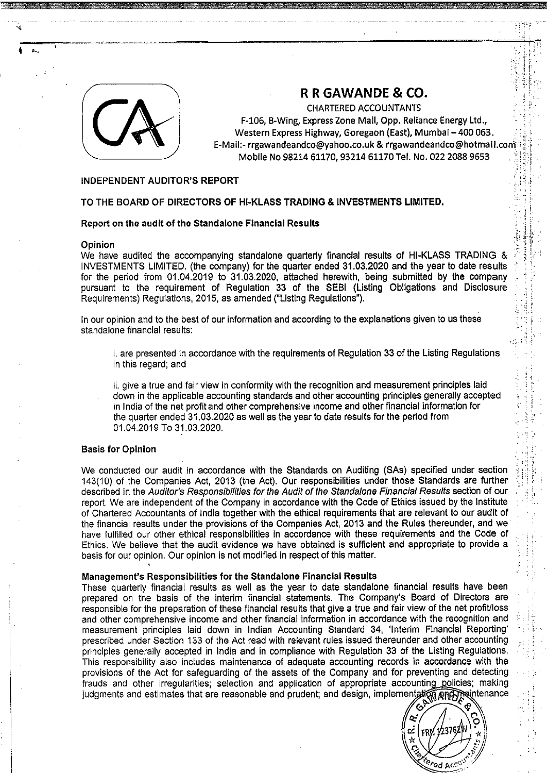

# **R R GAWANDE & CO.**

 $\Lambda$  .  $\sim$ . ...

 $\frac{1}{2}$  :  $\frac{1}{2}$  :  $\frac{1}{2}$ 

. - ! . .

!

:i

 $\ddot{\hspace{0.1cm}}$ 

 $\frac{1}{2}$  .

**CHARTERED ACCOUNTANTS** F-106, B-Wing, Express Zone Mall, Opp. Reliance Energy Ltd., Western Express Highway, Goregaon (East), Mumbai -400 063.<br>' E-Mail:- rrgawandeandco@yahoo.co.uk & rrgawandeandco@hotmail.com Mobile No 98214 61170, 93214 61170 Tel. No. 022 2088 9653<br>
INDEPENDENT AUDITOR'S REPORT

TO THE BOARD OF DIRECTORS OF HI-KLASS TRADING & INVESTMENTS LIMITED.

# Report on the audit of the Standalone Financial Results , % ..,I 4 . , . , . , , . .I,:! <;. ,, 1:; '1, Opinion k . .!

Opinion<br>We have audited the accompanying standalone quarterly financial results of HI-KLASS TRADING & INVESTMENTS LIMITED. (the company) for the quarter ended 31.03.2020 and the year to date results for the period from 01.04.2019 to 31.03.2020, attached herewith, being submitted by the company pursuant to the requirement of Regulation 33 of the SEBI (Listing Obligations and Disclosure Requirements) Regulations, 2015, as amended ("Listing Regulations").

In our opinion and to the best of our information and according to the explanations given to us these standalone financial results: ., . : ::,. I ' :

i. are presented in accordance with the requirements of Regulation 33 of the Listing Regulations in this regard; and , ,

ii. give a true and fair view in conformity with the recognition and measurement principles laid down in the applicable accounting standards and other accounting principles generally accepted in India of the net profit and other comprehensive income and other financial information for the quarter ended 31.03.2020 as well as the year to date results for the period from 01.04.2019 To 31.03.2020.

### Basis for Opinion

We conducted our audit in accordance with the Standards on Auditing (SAs) specified under section 143(10) of the Companies Act, 2013 (the Act). Our responsibilities under those Standards are further described in the Auditor's Responsibilities for the Audit of the Standalone Financial Results section of our report. We are independent of the Company in accordance with the Code of Ethics issued by the Institute of Chartered Accountants of lndia together with the ethical requirements that are relevant to our audit of the financial results under the provisions of the Companies Act, 2013 and the Rules thereunder, and we have fulfilled our other ethical responsibilities in accordance with these requirements and the Code of Ethics. We believe that the audit evidence we have obtained is sufficient and appropriate to provide a basis for our opinion. Our opinion is not modified in respect of this matter.

### Management's Responsibilities for the Standalone Financial Results

These quarterly financial results as well as the year to date standalone financial results have been prepared on the basis of the interim financial statements. The Company's Board of Directors are responsible for the preparation of these financial results that give a true and fair view of the net profiffloss and other comprehensive income and other financial information in accordance with the recognition and measurement principles laid down in Indian Accounting Standard 34, 'Interim Financial Reporting' prescribed under Section 133 of the Act read with relevant rules issued thereunder and other accounting principles generally accepted in lndia and in compliance with Regulation 33 of the Listing Regulations. This responsibility also includes maintenance of adequate accounting records in accordance with the provisions of the Act for safeguarding of the assets of the Company and for preventing and detecting frauds and other irregularities; selection and application of appropriate accounting policies; making judgments and estimates that are reasonable and prudent; and design, implementation and preintenance

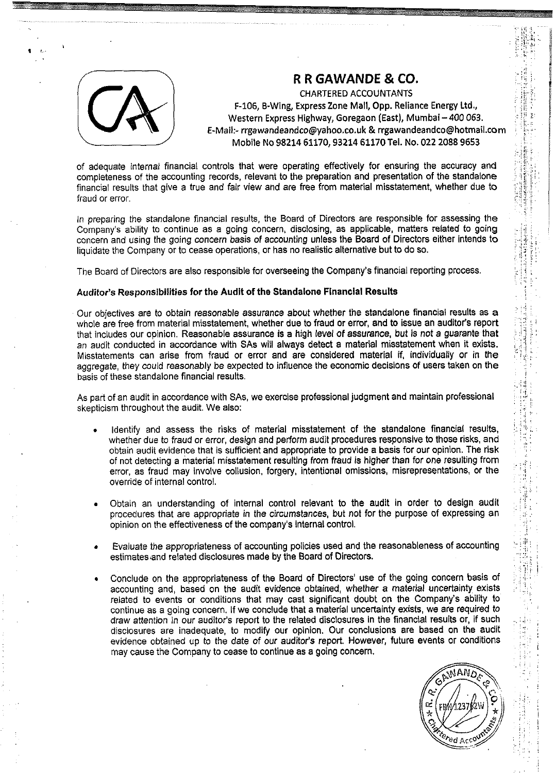

# **R R GAWANDE** & **CO.**

CHARTERED ACCOUNTANTS

**F-106,** 0-Wing, Express Zone Mall, Opp. Reliance Energy Ltd., Western Express Highway, Goregaon (East), Mumbai - **400 063.**  E-Mail:- rrgawandeandco@yahoo.co.uk & rrgawandeandco@hotmail.com Mobile No **98214 61170,93214 61170** Tel. No. **022 2088 9653** 

of adequate internal financial controls that were operating effectively for ensuring the accuracy and completeness of the accounting records, relevant to the preparation and presentation of the standalone financial results that give a true and fair view and are free from material misstatement, whether due to fraud or error.

In preparing the standalone financial results, the Board of Directors are responsible for assessing the Company's ability to continue as a going concern, disclosing, as applicable, matters related to going concern and usin

The Board of Directors are also responsible for overseeing the Company's financial reporting process.

### Auditor's Responsibilities for the Audit of the Standalone Flnanclal Results

Our objectives are to obtain reasonable assurance about whether the standalone financial results as a whole are free from material misstatement, whether due to fraud or error, and to issue an auditor's report that includes Misstatements can arise from fraud or error and are considered material if, individually or in the aggregate, they could reasonably be expected to influence the economic decisions of users taken on the basis of these standalone financial results. I

As part of an audit in accordance with SAs, we exercise professional judgment and maintain professional skepticism throughout the audit. We also:

- Identify and assess the risks of material misstatement of the standalone financial results, whether due to fraud or error, design and perform audit procedures responsive to those risks, and obtain audit evidence that is sufficient and appropriate to provide a basis for our opinion. The risk 'i of not detecting a material misstatement resulting from fraud is higher than for one resulting from error, as fraud may involve collusion, forgery, intentional omissions, misrepresentations, or the override of internal control.
- Obtain an understanding of internal control relevant to the audit in order to design audit procedures that are appropriate in the circumstances, but not for the purpose of expressing an opinion on the effectiveness of the company's internal control.
- Evaluate the appropriateness of accounting policies used and the reasonableness of accounting estimates and related disclosures made by the Board of Directors.
- Conclude on the appropriateness of the Board of Directors' use of the going concern basis of accounting and, based on the audit evidence obtained, whether a material uncertainty exists related to events or conditions that may cast significant doubt on the Company's ability to continue as a going concern. If we conclude that a material uncertainty exists, we are required to draw attention in our auditor's report to the related disclosures in the financial resuits or, if such disclosures are inadequate, to modify our opinion. Our conclusions are based on the audit evidence obtained up to the date of our auditor's report. However, future events or conditions may cause the Company to cease to continue as a going concern.



!. '

, .,  $\mathbb{R}^n$ 

,<br>հե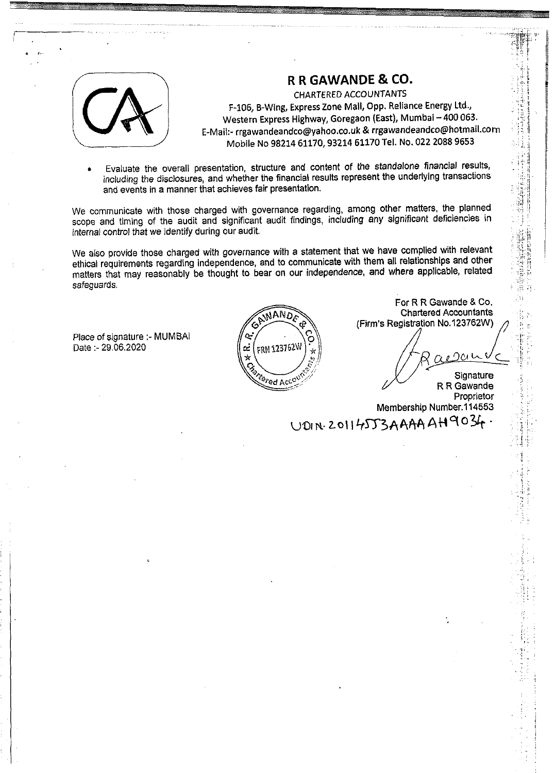

# **R R GAWANDE** & **CO.** ,:

**CHARTERED ACCOUNTANTS** 

F-106, B-Wing, Express Zone Mall, Opp. Reliance Energy Ltd., Western Express Highway, Goregaon (East), Mumbai - 400 063. E-Mail:- rrgawandeandco@yahoo.co.uk & rrgawandeandco@hotmail.com Mobile No 98214 61170, 93214 61170 Tel. No. 022 2088 9653

Evaluate the overall presentation, structure and content of the standalone financial results, including the disclosures, and whether the financial results represent the underlying transactions and events in a manner that achieves fair presentation.<br>
Intervalse with those charged with governance regarding, among oth and events in a manner that achieves fair presentation.

We communicate with those charged with governance regarding, among other matters, the planned scope and timing of the audit and significant audit findings, including any significant deficiencies in internal control that we identify during our audit.

We also provide those charged with governance with a statement that we have complied with relevant ethical requirements regarding independence, and to communicate with them all relationships and other matters that may reasonably be thought to bear on our independence, and where applicable, related safeguards.

Place of signature :- MUMBAI Place of signature :- MUMBAI<br>Date :- 29.06.2020<br> $\begin{pmatrix} \alpha^2 \\ \alpha^2 \\ \gamma \end{pmatrix}$ FRN 123762W



For R R Gawande & Co. (Firm's Registration No.123762W)

,. **i?** :. **i** <sup>p</sup>

:.:; **::\I**   $\mathbb{E}$  .

... I. *<sup>I</sup>*

dolainn an 1970.<br>Tachartasan

P.

∬a<br>W É.

**'red** ~icc',..: Signature --. R R Gawande Proprietor Membership Number.114553 UDIN. 20114553AAAAAH9034.